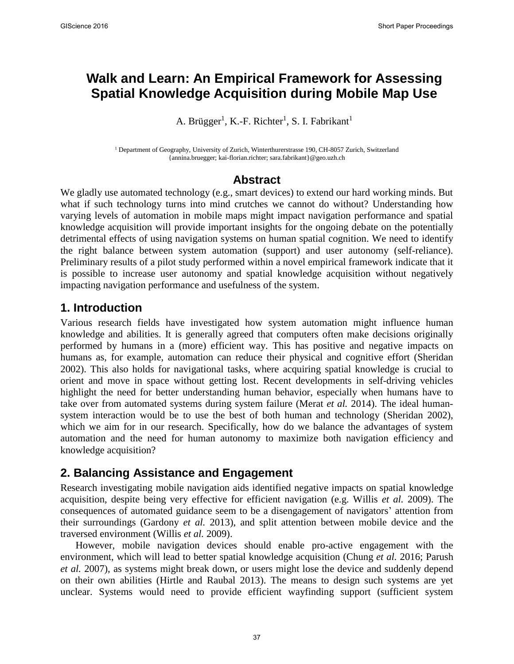# **Walk and Learn: An Empirical Framework for Assessing Spatial Knowledge Acquisition during Mobile Map Use**

A. Brügger<sup>1</sup>, K.-F. Richter<sup>1</sup>, S. I. Fabrikant<sup>1</sup>

<sup>1</sup> Department of Geography, University of Zurich, Winterthurerstrasse 190, CH-8057 Zurich, Switzerland {annina.bruegger; kai-florian.richter; sara.fabrikant}@geo.uzh.ch

## **Abstract**

We gladly use automated technology (e.g., smart devices) to extend our hard working minds. But what if such technology turns into mind crutches we cannot do without? Understanding how varying levels of automation in mobile maps might impact navigation performance and spatial knowledge acquisition will provide important insights for the ongoing debate on the potentially detrimental effects of using navigation systems on human spatial cognition. We need to identify the right balance between system automation (support) and user autonomy (self-reliance). Preliminary results of a pilot study performed within a novel empirical framework indicate that it is possible to increase user autonomy and spatial knowledge acquisition without negatively impacting navigation performance and usefulness of the system.

# **1. Introduction**

Various research fields have investigated how system automation might influence human knowledge and abilities. It is generally agreed that computers often make decisions originally performed by humans in a (more) efficient way. This has positive and negative impacts on humans as, for example, automation can reduce their physical and cognitive effort (Sheridan 2002). This also holds for navigational tasks, where acquiring spatial knowledge is crucial to orient and move in space without getting lost. Recent developments in self-driving vehicles highlight the need for better understanding human behavior, especially when humans have to take over from automated systems during system failure (Merat *et al.* 2014). The ideal humansystem interaction would be to use the best of both human and technology (Sheridan 2002), which we aim for in our research. Specifically, how do we balance the advantages of system automation and the need for human autonomy to maximize both navigation efficiency and knowledge acquisition?

# **2. Balancing Assistance and Engagement**

Research investigating mobile navigation aids identified negative impacts on spatial knowledge acquisition, despite being very effective for efficient navigation (e.g. Willis *et al.* 2009). The consequences of automated guidance seem to be a disengagement of navigators' attention from their surroundings (Gardony *et al.* 2013), and split attention between mobile device and the traversed environment (Willis *et al.* 2009).

However, mobile navigation devices should enable pro-active engagement with the environment, which will lead to better spatial knowledge acquisition (Chung *et al.* 2016; Parush *et al.* 2007), as systems might break down, or users might lose the device and suddenly depend on their own abilities (Hirtle and Raubal 2013). The means to design such systems are yet unclear. Systems would need to provide efficient wayfinding support (sufficient system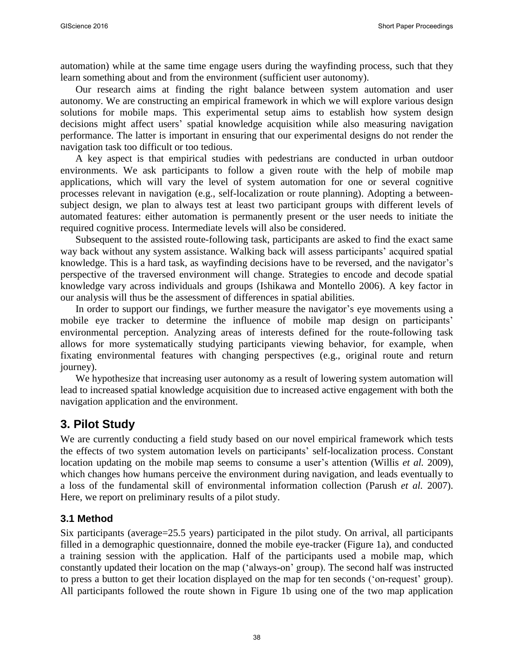automation) while at the same time engage users during the wayfinding process, such that they learn something about and from the environment (sufficient user autonomy).

Our research aims at finding the right balance between system automation and user autonomy. We are constructing an empirical framework in which we will explore various design solutions for mobile maps. This experimental setup aims to establish how system design decisions might affect users' spatial knowledge acquisition while also measuring navigation performance. The latter is important in ensuring that our experimental designs do not render the navigation task too difficult or too tedious.

A key aspect is that empirical studies with pedestrians are conducted in urban outdoor environments. We ask participants to follow a given route with the help of mobile map applications, which will vary the level of system automation for one or several cognitive processes relevant in navigation (e.g., self-localization or route planning). Adopting a betweensubject design, we plan to always test at least two participant groups with different levels of automated features: either automation is permanently present or the user needs to initiate the required cognitive process. Intermediate levels will also be considered.

Subsequent to the assisted route-following task, participants are asked to find the exact same way back without any system assistance. Walking back will assess participants' acquired spatial knowledge. This is a hard task, as wayfinding decisions have to be reversed, and the navigator's perspective of the traversed environment will change. Strategies to encode and decode spatial knowledge vary across individuals and groups (Ishikawa and Montello 2006). A key factor in our analysis will thus be the assessment of differences in spatial abilities.

In order to support our findings, we further measure the navigator's eye movements using a mobile eye tracker to determine the influence of mobile map design on participants' environmental perception. Analyzing areas of interests defined for the route-following task allows for more systematically studying participants viewing behavior, for example, when fixating environmental features with changing perspectives (e.g., original route and return journey).

We hypothesize that increasing user autonomy as a result of lowering system automation will lead to increased spatial knowledge acquisition due to increased active engagement with both the navigation application and the environment.

# **3. Pilot Study**

We are currently conducting a field study based on our novel empirical framework which tests the effects of two system automation levels on participants' self-localization process. Constant location updating on the mobile map seems to consume a user's attention (Willis *et al.* 2009), which changes how humans perceive the environment during navigation, and leads eventually to a loss of the fundamental skill of environmental information collection (Parush *et al.* 2007). Here, we report on preliminary results of a pilot study.

## **3.1 Method**

Six participants (average=25.5 years) participated in the pilot study. On arrival, all participants filled in a demographic questionnaire, donned the mobile eye-tracker (Figure 1a), and conducted a training session with the application. Half of the participants used a mobile map, which constantly updated their location on the map ('always-on' group). The second half was instructed to press a button to get their location displayed on the map for ten seconds ('on-request' group). All participants followed the route shown in Figure 1b using one of the two map application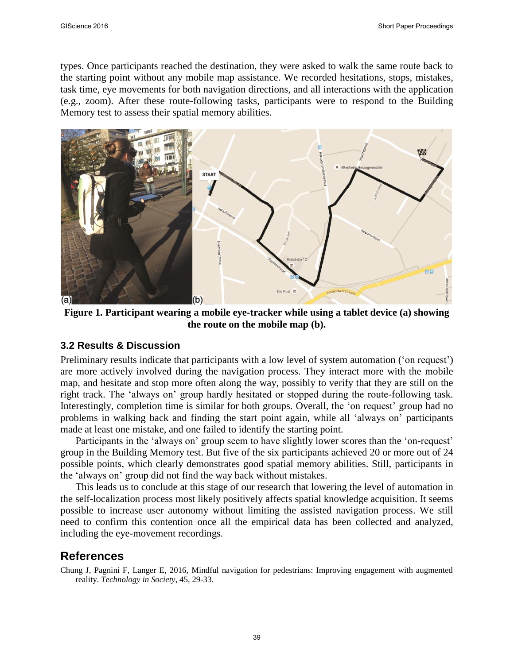types. Once participants reached the destination, they were asked to walk the same route back to the starting point without any mobile map assistance. We recorded hesitations, stops, mistakes, task time, eye movements for both navigation directions, and all interactions with the application (e.g., zoom). After these route-following tasks, participants were to respond to the Building Memory test to assess their spatial memory abilities.



**Figure 1. Participant wearing a mobile eye-tracker while using a tablet device (a) showing the route on the mobile map (b).**

#### **3.2 Results & Discussion**

Preliminary results indicate that participants with a low level of system automation ('on request') are more actively involved during the navigation process. They interact more with the mobile map, and hesitate and stop more often along the way, possibly to verify that they are still on the right track. The 'always on' group hardly hesitated or stopped during the route-following task. Interestingly, completion time is similar for both groups. Overall, the 'on request' group had no problems in walking back and finding the start point again, while all 'always on' participants made at least one mistake, and one failed to identify the starting point.

Participants in the 'always on' group seem to have slightly lower scores than the 'on-request' group in the Building Memory test. But five of the six participants achieved 20 or more out of 24 possible points, which clearly demonstrates good spatial memory abilities. Still, participants in the 'always on' group did not find the way back without mistakes.

This leads us to conclude at this stage of our research that lowering the level of automation in the self-localization process most likely positively affects spatial knowledge acquisition. It seems possible to increase user autonomy without limiting the assisted navigation process. We still need to confirm this contention once all the empirical data has been collected and analyzed, including the eye-movement recordings.

## **References**

Chung J, Pagnini F, Langer E, 2016, Mindful navigation for pedestrians: Improving engagement with augmented reality. *Technology in Society*, 45, 29-33.